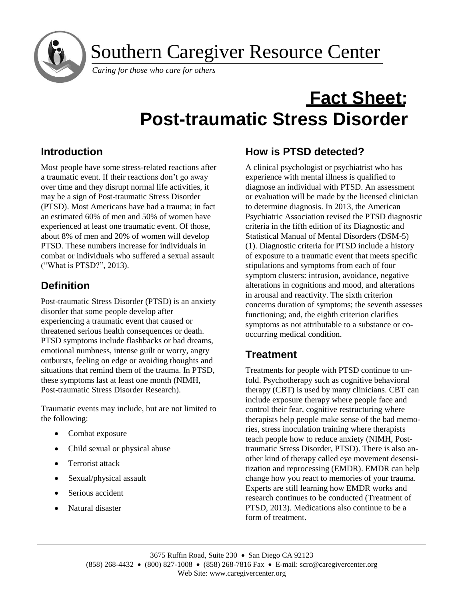Southern Caregiver Resource Center

*Caring for those who care for others*

# **Fact Sheet: Post-traumatic Stress Disorder**

# **Introduction**

j

Most people have some stress-related reactions after a traumatic event. If their reactions don't go away over time and they disrupt normal life activities, it may be a sign of Post-traumatic Stress Disorder (PTSD). Most Americans have had a trauma; in fact an estimated 60% of men and 50% of women have experienced at least one traumatic event. Of those, about 8% of men and 20% of women will develop PTSD. These numbers increase for individuals in combat or individuals who suffered a sexual assault ("What is PTSD?", 2013).

# **Definition**

Post-traumatic Stress Disorder (PTSD) is an anxiety disorder that some people develop after experiencing a traumatic event that caused or threatened serious health consequences or death. PTSD symptoms include flashbacks or bad dreams, emotional numbness, intense guilt or worry, angry outbursts, feeling on edge or avoiding thoughts and situations that remind them of the trauma. In PTSD, these symptoms last at least one month (NIMH, Post-traumatic Stress Disorder Research).

Traumatic events may include, but are not limited to the following:

- Combat exposure
- Child sexual or physical abuse
- **•** Terrorist attack
- Sexual/physical assault
- Serious accident
- Natural disaster

# **How is PTSD detected?**

A clinical psychologist or psychiatrist who has experience with mental illness is qualified to diagnose an individual with PTSD. An assessment or evaluation will be made by the licensed clinician to determine diagnosis. In 2013, the American Psychiatric Association revised the PTSD diagnostic criteria in the fifth edition of its Diagnostic and Statistical Manual of Mental Disorders (DSM-5) (1). Diagnostic criteria for PTSD include a history of exposure to a traumatic event that meets specific stipulations and symptoms from each of four symptom clusters: intrusion, avoidance, negative alterations in cognitions and mood, and alterations in arousal and reactivity. The sixth criterion concerns duration of symptoms; the seventh assesses functioning; and, the eighth criterion clarifies symptoms as not attributable to a substance or cooccurring medical condition.

# **Treatment**

Treatments for people with PTSD continue to unfold. Psychotherapy such as cognitive behavioral therapy (CBT) is used by many clinicians. CBT can include exposure therapy where people face and control their fear, cognitive restructuring where therapists help people make sense of the bad memories, stress inoculation training where therapists teach people how to reduce anxiety (NIMH, Posttraumatic Stress Disorder, PTSD). There is also another kind of therapy called eye movement desensitization and reprocessing (EMDR). EMDR can help change how you react to memories of your trauma. Experts are still learning how EMDR works and research continues to be conducted (Treatment of PTSD, 2013). Medications also continue to be a form of treatment.